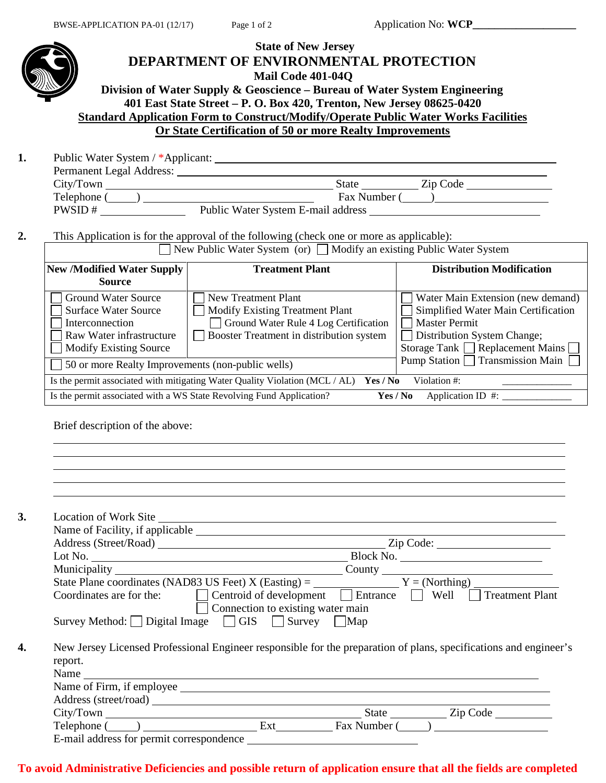

#### **To avoid Administrative Deficiencies and possible return of application ensure that all the fields are completed**